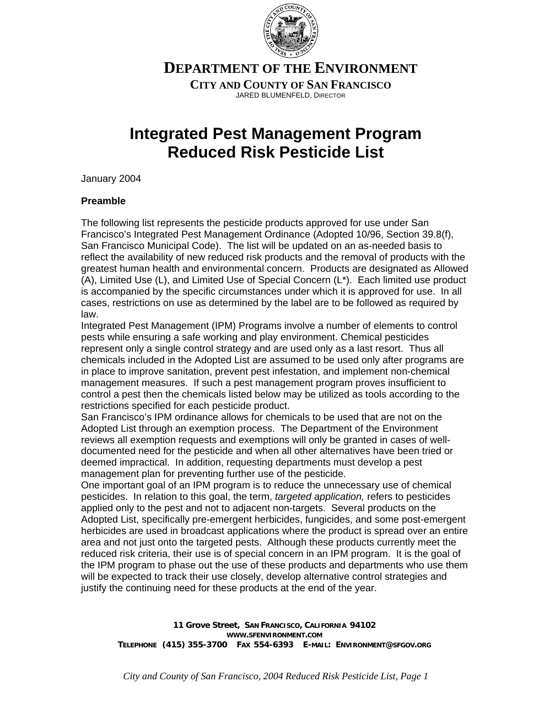

**DEPARTMENT OF THE ENVIRONMENT**

**CITY AND COUNTY OF SAN FRANCISCO** JARED BLUMENFELD, DIRECTOR

## **Integrated Pest Management Program Reduced Risk Pesticide List**

January 2004

## **Preamble**

The following list represents the pesticide products approved for use under San Francisco's Integrated Pest Management Ordinance (Adopted 10/96, Section 39.8(f), San Francisco Municipal Code). The list will be updated on an as-needed basis to reflect the availability of new reduced risk products and the removal of products with the greatest human health and environmental concern. Products are designated as Allowed (A), Limited Use (L), and Limited Use of Special Concern (L\*). Each limited use product is accompanied by the specific circumstances under which it is approved for use. In all cases, restrictions on use as determined by the label are to be followed as required by law.

Integrated Pest Management (IPM) Programs involve a number of elements to control pests while ensuring a safe working and play environment. Chemical pesticides represent only a single control strategy and are used only as a last resort. Thus all chemicals included in the Adopted List are assumed to be used only after programs are in place to improve sanitation, prevent pest infestation, and implement non-chemical management measures. If such a pest management program proves insufficient to control a pest then the chemicals listed below may be utilized as tools according to the restrictions specified for each pesticide product.

San Francisco's IPM ordinance allows for chemicals to be used that are not on the Adopted List through an exemption process. The Department of the Environment reviews all exemption requests and exemptions will only be granted in cases of welldocumented need for the pesticide and when all other alternatives have been tried or deemed impractical. In addition, requesting departments must develop a pest management plan for preventing further use of the pesticide.

One important goal of an IPM program is to reduce the unnecessary use of chemical pesticides. In relation to this goal, the term, *targeted application,* refers to pesticides applied only to the pest and not to adjacent non-targets. Several products on the Adopted List, specifically pre-emergent herbicides, fungicides, and some post-emergent herbicides are used in broadcast applications where the product is spread over an entire area and not just onto the targeted pests. Although these products currently meet the reduced risk criteria, their use is of special concern in an IPM program. It is the goal of the IPM program to phase out the use of these products and departments who use them will be expected to track their use closely, develop alternative control strategies and justify the continuing need for these products at the end of the year.

**11 Grove Street, SAN FRANCISCO, CALIFORNIA 94102 WWW.SFENVIRONMENT.COM TELEPHONE (415) 355-3700 FAX 554-6393 E-MAIL: ENVIRONMENT@SFGOV.ORG**

*City and County of San Francisco, 2004 Reduced Risk Pesticide List, Page 1*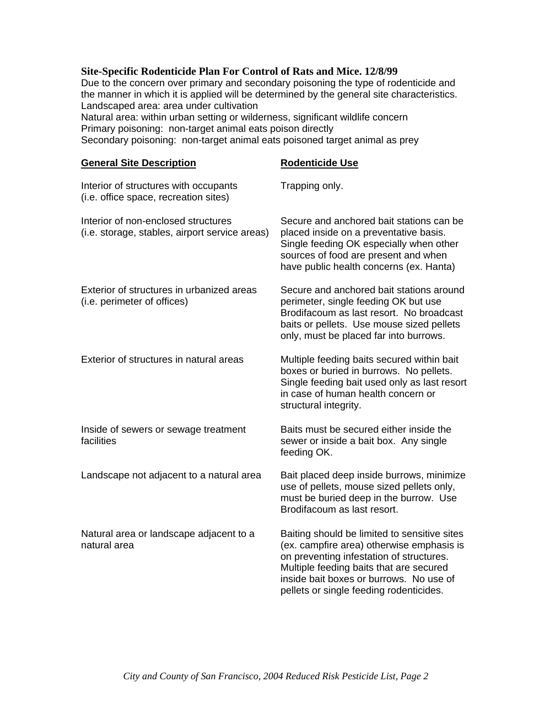## **Site-Specific Rodenticide Plan For Control of Rats and Mice. 12/8/99**

Due to the concern over primary and secondary poisoning the type of rodenticide and the manner in which it is applied will be determined by the general site characteristics. Landscaped area: area under cultivation Natural area: within urban setting or wilderness, significant wildlife concern

Primary poisoning: non-target animal eats poison directly

Secondary poisoning: non-target animal eats poisoned target animal as prey

| <b>General Site Description</b>                                                       | <b>Rodenticide Use</b>                                                                                                                                                                                                                                                 |
|---------------------------------------------------------------------------------------|------------------------------------------------------------------------------------------------------------------------------------------------------------------------------------------------------------------------------------------------------------------------|
| Interior of structures with occupants<br>(i.e. office space, recreation sites)        | Trapping only.                                                                                                                                                                                                                                                         |
| Interior of non-enclosed structures<br>(i.e. storage, stables, airport service areas) | Secure and anchored bait stations can be<br>placed inside on a preventative basis.<br>Single feeding OK especially when other<br>sources of food are present and when<br>have public health concerns (ex. Hanta)                                                       |
| Exterior of structures in urbanized areas<br>(i.e. perimeter of offices)              | Secure and anchored bait stations around<br>perimeter, single feeding OK but use<br>Brodifacoum as last resort. No broadcast<br>baits or pellets. Use mouse sized pellets<br>only, must be placed far into burrows.                                                    |
| Exterior of structures in natural areas                                               | Multiple feeding baits secured within bait<br>boxes or buried in burrows. No pellets.<br>Single feeding bait used only as last resort<br>in case of human health concern or<br>structural integrity.                                                                   |
| Inside of sewers or sewage treatment<br>facilities                                    | Baits must be secured either inside the<br>sewer or inside a bait box. Any single<br>feeding OK.                                                                                                                                                                       |
| Landscape not adjacent to a natural area                                              | Bait placed deep inside burrows, minimize<br>use of pellets, mouse sized pellets only,<br>must be buried deep in the burrow. Use<br>Brodifacoum as last resort.                                                                                                        |
| Natural area or landscape adjacent to a<br>natural area                               | Baiting should be limited to sensitive sites<br>(ex. campfire area) otherwise emphasis is<br>on preventing infestation of structures.<br>Multiple feeding baits that are secured<br>inside bait boxes or burrows. No use of<br>pellets or single feeding rodenticides. |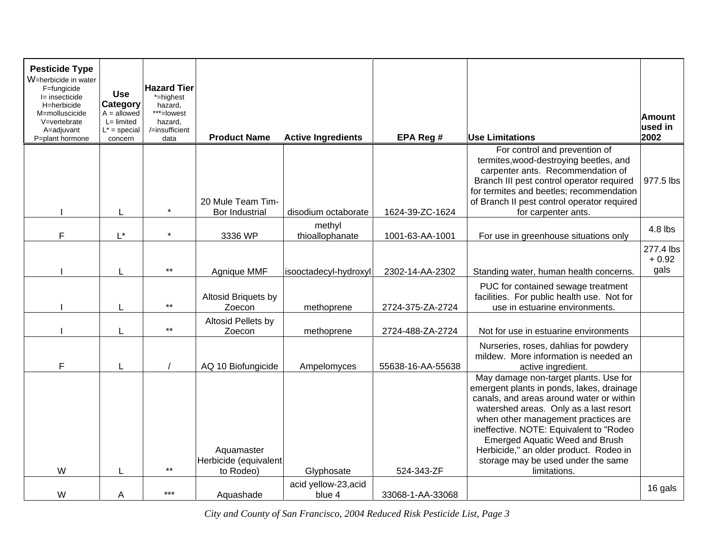| <b>Pesticide Type</b><br>W=herbicide in water<br>F=fungicide |                                                               | <b>Hazard Tier</b>                                 |                                                  |                                |                   |                                                                                                                                                                                                                                                                                                                                                                                                     |                          |
|--------------------------------------------------------------|---------------------------------------------------------------|----------------------------------------------------|--------------------------------------------------|--------------------------------|-------------------|-----------------------------------------------------------------------------------------------------------------------------------------------------------------------------------------------------------------------------------------------------------------------------------------------------------------------------------------------------------------------------------------------------|--------------------------|
| l= insecticide                                               | <b>Use</b>                                                    | *=highest                                          |                                                  |                                |                   |                                                                                                                                                                                                                                                                                                                                                                                                     |                          |
| H=herbicide<br>M=molluscicide<br>V=vertebrate<br>A=adjuvant  | Category<br>$A =$ allowed<br>$L =$ limited<br>$L^*$ = special | hazard,<br>***=lowest<br>hazard,<br>/=insufficient |                                                  |                                |                   |                                                                                                                                                                                                                                                                                                                                                                                                     | <b>Amount</b><br>used in |
| P=plant hormone                                              | concern                                                       | data                                               | <b>Product Name</b>                              | <b>Active Ingredients</b>      | EPA Reg #         | <b>Use Limitations</b>                                                                                                                                                                                                                                                                                                                                                                              | 2002                     |
|                                                              |                                                               |                                                    | 20 Mule Team Tim-                                |                                |                   | For control and prevention of<br>termites, wood-destroying beetles, and<br>carpenter ants. Recommendation of<br>Branch III pest control operator required<br>for termites and beetles; recommendation<br>of Branch II pest control operator required                                                                                                                                                | 977.5 lbs                |
|                                                              |                                                               | $\star$                                            | Bor Industrial                                   | disodium octaborate            | 1624-39-ZC-1624   | for carpenter ants.                                                                                                                                                                                                                                                                                                                                                                                 |                          |
| F                                                            | $L^*$                                                         | $\star$                                            | 3336 WP                                          | methyl<br>thioallophanate      | 1001-63-AA-1001   | For use in greenhouse situations only                                                                                                                                                                                                                                                                                                                                                               | 4.8 lbs                  |
|                                                              |                                                               |                                                    |                                                  |                                |                   |                                                                                                                                                                                                                                                                                                                                                                                                     | 277.4 lbs<br>$+0.92$     |
|                                                              |                                                               | $***$                                              | Agnique MMF                                      | isooctadecyl-hydroxyl          | 2302-14-AA-2302   | Standing water, human health concerns.                                                                                                                                                                                                                                                                                                                                                              | gals                     |
|                                                              |                                                               | $***$                                              | Altosid Briquets by<br>Zoecon                    | methoprene                     | 2724-375-ZA-2724  | PUC for contained sewage treatment<br>facilities. For public health use. Not for<br>use in estuarine environments.                                                                                                                                                                                                                                                                                  |                          |
|                                                              |                                                               |                                                    | Altosid Pellets by                               |                                |                   |                                                                                                                                                                                                                                                                                                                                                                                                     |                          |
|                                                              |                                                               | $^{\star\star}$                                    | Zoecon                                           | methoprene                     | 2724-488-ZA-2724  | Not for use in estuarine environments                                                                                                                                                                                                                                                                                                                                                               |                          |
| F                                                            |                                                               |                                                    | AQ 10 Biofungicide                               | Ampelomyces                    | 55638-16-AA-55638 | Nurseries, roses, dahlias for powdery<br>mildew. More information is needed an<br>active ingredient.                                                                                                                                                                                                                                                                                                |                          |
| W                                                            |                                                               | $\star\star$                                       | Aquamaster<br>Herbicide (equivalent<br>to Rodeo) | Glyphosate                     | 524-343-ZF        | May damage non-target plants. Use for<br>emergent plants in ponds, lakes, drainage<br>canals, and areas around water or within<br>watershed areas. Only as a last resort<br>when other management practices are<br>ineffective. NOTE: Equivalent to "Rodeo<br><b>Emerged Aquatic Weed and Brush</b><br>Herbicide," an older product. Rodeo in<br>storage may be used under the same<br>limitations. |                          |
| W                                                            | Α                                                             | ***                                                | Aquashade                                        | acid yellow-23, acid<br>blue 4 | 33068-1-AA-33068  |                                                                                                                                                                                                                                                                                                                                                                                                     | 16 gals                  |

*City and County of San Francisco, 2004 Reduced Risk Pesticide List, Page 3*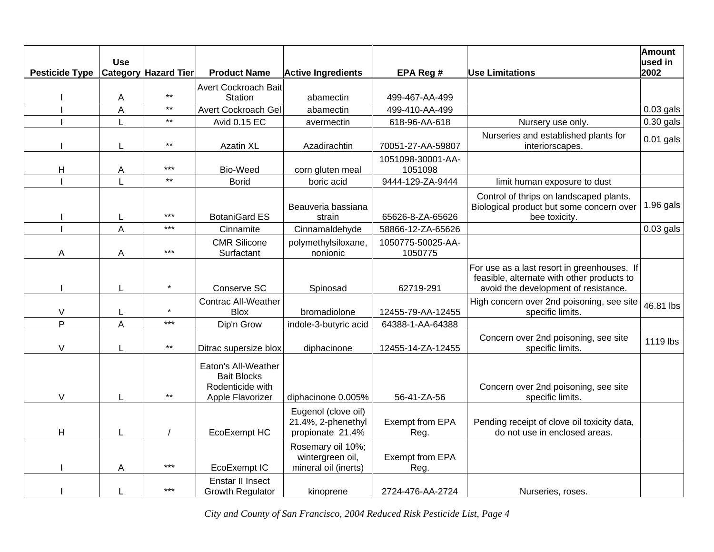| <b>Pesticide Type</b> | <b>Use</b> | <b>Category Hazard Tier</b> | <b>Product Name</b>                                                               | <b>Active Ingredients</b>                                     | EPA Reg #                    | <b>Use Limitations</b>                                                                                                            | <b>Amount</b><br>used in<br>2002 |
|-----------------------|------------|-----------------------------|-----------------------------------------------------------------------------------|---------------------------------------------------------------|------------------------------|-----------------------------------------------------------------------------------------------------------------------------------|----------------------------------|
|                       | A          | $***$                       | <b>Avert Cockroach Bait</b><br>Station                                            | abamectin                                                     | 499-467-AA-499               |                                                                                                                                   |                                  |
|                       | A          | $^{\star\star}$             | Avert Cockroach Gel                                                               | abamectin                                                     | 499-410-AA-499               |                                                                                                                                   | $0.03$ gals                      |
|                       |            | $***$                       | Avid 0.15 EC                                                                      | avermectin                                                    | 618-96-AA-618                | Nursery use only.                                                                                                                 | $0.30$ gals                      |
|                       | L          | $***$                       | <b>Azatin XL</b>                                                                  | Azadirachtin                                                  | 70051-27-AA-59807            | Nurseries and established plants for<br>interiorscapes.                                                                           | $0.01$ gals                      |
| H                     | Α          | $***$                       | Bio-Weed                                                                          | corn gluten meal                                              | 1051098-30001-AA-<br>1051098 |                                                                                                                                   |                                  |
|                       |            | $***$                       | <b>Borid</b>                                                                      | boric acid                                                    | 9444-129-ZA-9444             | limit human exposure to dust                                                                                                      |                                  |
|                       | L          | $***$                       | <b>BotaniGard ES</b>                                                              | Beauveria bassiana<br>strain                                  | 65626-8-ZA-65626             | Control of thrips on landscaped plants.<br>Biological product but some concern over<br>bee toxicity.                              | $1.96$ gals                      |
|                       | A          | $***$                       | Cinnamite                                                                         | Cinnamaldehyde                                                | 58866-12-ZA-65626            |                                                                                                                                   | $0.03$ gals                      |
| Α                     | Α          | $***$                       | <b>CMR Silicone</b><br>Surfactant                                                 | polymethylsiloxane,<br>nonionic                               | 1050775-50025-AA-<br>1050775 |                                                                                                                                   |                                  |
|                       | L          |                             | Conserve SC                                                                       | Spinosad                                                      | 62719-291                    | For use as a last resort in greenhouses. If<br>feasible, alternate with other products to<br>avoid the development of resistance. |                                  |
| $\vee$                | L          |                             | <b>Contrac All-Weather</b><br><b>Blox</b>                                         | bromadiolone                                                  | 12455-79-AA-12455            | High concern over 2nd poisoning, see site<br>specific limits.                                                                     | 46.81 lbs                        |
| $\overline{P}$        | A          | $***$                       | Dip'n Grow                                                                        | indole-3-butyric acid                                         | 64388-1-AA-64388             |                                                                                                                                   |                                  |
| $\vee$                |            | $***$                       | Ditrac supersize blox                                                             | diphacinone                                                   | 12455-14-ZA-12455            | Concern over 2nd poisoning, see site<br>specific limits.                                                                          | 1119 lbs                         |
| $\vee$                | L          | $***$                       | Eaton's All-Weather<br><b>Bait Blocks</b><br>Rodenticide with<br>Apple Flavorizer | diphacinone 0.005%                                            | 56-41-ZA-56                  | Concern over 2nd poisoning, see site<br>specific limits.                                                                          |                                  |
| H                     | L          |                             | EcoExempt HC                                                                      | Eugenol (clove oil)<br>21.4%, 2-phenethyl<br>propionate 21.4% | Exempt from EPA<br>Reg.      | Pending receipt of clove oil toxicity data,<br>do not use in enclosed areas.                                                      |                                  |
|                       | A          | $***$                       | EcoExempt IC                                                                      | Rosemary oil 10%;<br>wintergreen oil,<br>mineral oil (inerts) | Exempt from EPA<br>Reg.      |                                                                                                                                   |                                  |
|                       |            | $***$                       | Enstar II Insect<br><b>Growth Regulator</b>                                       | kinoprene                                                     | 2724-476-AA-2724             | Nurseries, roses.                                                                                                                 |                                  |

*City and County of San Francisco, 2004 Reduced Risk Pesticide List, Page 4*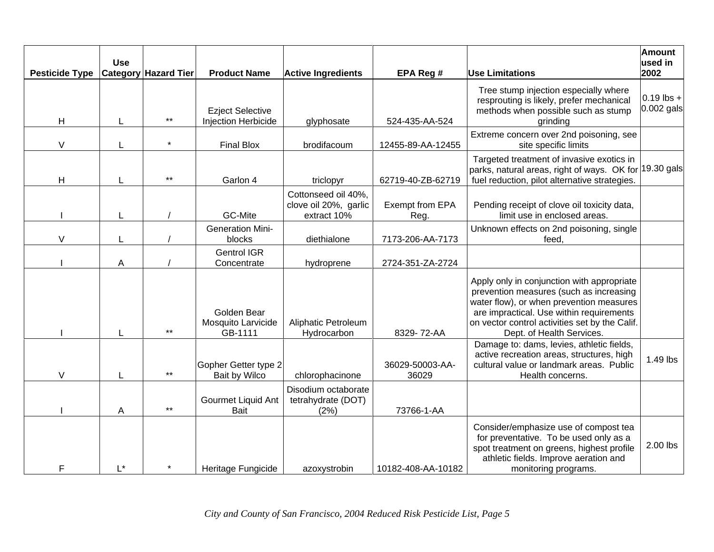| <b>Pesticide Type</b> | <b>Use</b> | <b>Category Hazard Tier</b> | <b>Product Name</b>                            | <b>Active Ingredients</b>                                   | EPA Reg #                | <b>Use Limitations</b>                                                                                                                                                                                                                                       | Amount<br>used in<br>2002    |
|-----------------------|------------|-----------------------------|------------------------------------------------|-------------------------------------------------------------|--------------------------|--------------------------------------------------------------------------------------------------------------------------------------------------------------------------------------------------------------------------------------------------------------|------------------------------|
| H                     | L          | $***$                       | <b>Ezject Selective</b><br>Injection Herbicide | glyphosate                                                  | 524-435-AA-524           | Tree stump injection especially where<br>resprouting is likely, prefer mechanical<br>methods when possible such as stump<br>grinding                                                                                                                         | $0.19$ lbs +<br>$0.002$ gals |
| V                     |            |                             | <b>Final Blox</b>                              | brodifacoum                                                 | 12455-89-AA-12455        | Extreme concern over 2nd poisoning, see<br>site specific limits                                                                                                                                                                                              |                              |
| н                     |            | $***$                       | Garlon 4                                       | triclopyr                                                   | 62719-40-ZB-62719        | Targeted treatment of invasive exotics in<br>parks, natural areas, right of ways. OK for 19.30 gals<br>fuel reduction, pilot alternative strategies.                                                                                                         |                              |
|                       |            |                             | GC-Mite                                        | Cottonseed oil 40%,<br>clove oil 20%, garlic<br>extract 10% | Exempt from EPA<br>Reg.  | Pending receipt of clove oil toxicity data,<br>limit use in enclosed areas.                                                                                                                                                                                  |                              |
| V                     |            |                             | <b>Generation Mini-</b><br>blocks              | diethialone                                                 | 7173-206-AA-7173         | Unknown effects on 2nd poisoning, single<br>feed.                                                                                                                                                                                                            |                              |
|                       | A          |                             | <b>Gentrol IGR</b><br>Concentrate              | hydroprene                                                  | 2724-351-ZA-2724         |                                                                                                                                                                                                                                                              |                              |
|                       |            | $***$                       | Golden Bear<br>Mosquito Larvicide<br>GB-1111   | Aliphatic Petroleum<br>Hydrocarbon                          | 8329-72-AA               | Apply only in conjunction with appropriate<br>prevention measures (such as increasing<br>water flow), or when prevention measures<br>are impractical. Use within requirements<br>on vector control activities set by the Calif.<br>Dept. of Health Services. |                              |
| V                     |            | $***$                       | Gopher Getter type 2<br>Bait by Wilco          | chlorophacinone                                             | 36029-50003-AA-<br>36029 | Damage to: dams, levies, athletic fields,<br>active recreation areas, structures, high<br>cultural value or landmark areas. Public<br>Health concerns.                                                                                                       | 1.49 lbs                     |
|                       | A          | $***$                       | Gourmet Liquid Ant<br><b>Bait</b>              | Disodium octaborate<br>tetrahydrate (DOT)<br>(2%)           | 73766-1-AA               |                                                                                                                                                                                                                                                              |                              |
| F                     | L*         |                             | Heritage Fungicide                             | azoxystrobin                                                | 10182-408-AA-10182       | Consider/emphasize use of compost tea<br>for preventative. To be used only as a<br>spot treatment on greens, highest profile<br>athletic fields. Improve aeration and<br>monitoring programs.                                                                | 2.00 lbs                     |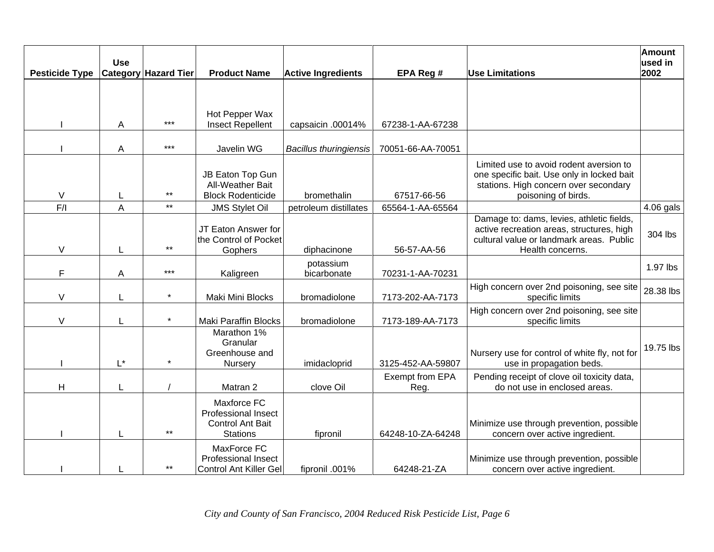| <b>Pesticide Type</b> | <b>Use</b>         | <b>Category Hazard Tier</b> | <b>Product Name</b>                                                                     | <b>Active Ingredients</b>     | EPA Reg #               | <b>Use Limitations</b>                                                                                                                                 | <b>Amount</b><br>used in<br>2002 |
|-----------------------|--------------------|-----------------------------|-----------------------------------------------------------------------------------------|-------------------------------|-------------------------|--------------------------------------------------------------------------------------------------------------------------------------------------------|----------------------------------|
|                       |                    |                             |                                                                                         |                               |                         |                                                                                                                                                        |                                  |
|                       | Α                  | $***$                       | Hot Pepper Wax<br><b>Insect Repellent</b>                                               | capsaicin .00014%             | 67238-1-AA-67238        |                                                                                                                                                        |                                  |
|                       | A                  | $***$                       | Javelin WG                                                                              | <b>Bacillus thuringiensis</b> | 70051-66-AA-70051       |                                                                                                                                                        |                                  |
| $\vee$                |                    | $***$                       | JB Eaton Top Gun<br>All-Weather Bait<br><b>Block Rodenticide</b>                        | bromethalin                   | 67517-66-56             | Limited use to avoid rodent aversion to<br>one specific bait. Use only in locked bait<br>stations. High concern over secondary<br>poisoning of birds.  |                                  |
| F/I                   | $\overline{A}$     | $***$                       | <b>JMS Stylet Oil</b>                                                                   | petroleum distillates         | 65564-1-AA-65564        |                                                                                                                                                        | 4.06 gals                        |
| V                     |                    | $***$                       | JT Eaton Answer for<br>the Control of Pocket<br>Gophers                                 | diphacinone                   | 56-57-AA-56             | Damage to: dams, levies, athletic fields,<br>active recreation areas, structures, high<br>cultural value or landmark areas. Public<br>Health concerns. | 304 lbs                          |
| F                     | A                  | $***$                       | Kaligreen                                                                               | potassium<br>bicarbonate      | 70231-1-AA-70231        |                                                                                                                                                        | 1.97 lbs                         |
| V                     |                    | $\star$                     | Maki Mini Blocks                                                                        | bromadiolone                  | 7173-202-AA-7173        | High concern over 2nd poisoning, see site<br>specific limits                                                                                           | 28.38 lbs                        |
| $\vee$                |                    | $\star$                     | <b>Maki Paraffin Blocks</b>                                                             | bromadiolone                  | 7173-189-AA-7173        | High concern over 2nd poisoning, see site<br>specific limits                                                                                           |                                  |
|                       | $\mathsf{L}^\star$ |                             | Marathon 1%<br>Granular<br>Greenhouse and<br>Nursery                                    | imidacloprid                  | 3125-452-AA-59807       | Nursery use for control of white fly, not for<br>use in propagation beds.                                                                              | 19.75 lbs                        |
| H                     |                    |                             | Matran 2                                                                                | clove Oil                     | Exempt from EPA<br>Reg. | Pending receipt of clove oil toxicity data,<br>do not use in enclosed areas.                                                                           |                                  |
|                       |                    | $***$                       | Maxforce FC<br><b>Professional Insect</b><br><b>Control Ant Bait</b><br><b>Stations</b> | fipronil                      | 64248-10-ZA-64248       | Minimize use through prevention, possible<br>concern over active ingredient.                                                                           |                                  |
|                       |                    | $***$                       | MaxForce FC<br><b>Professional Insect</b><br>Control Ant Killer Gel                     | fipronil .001%                | 64248-21-ZA             | Minimize use through prevention, possible<br>concern over active ingredient.                                                                           |                                  |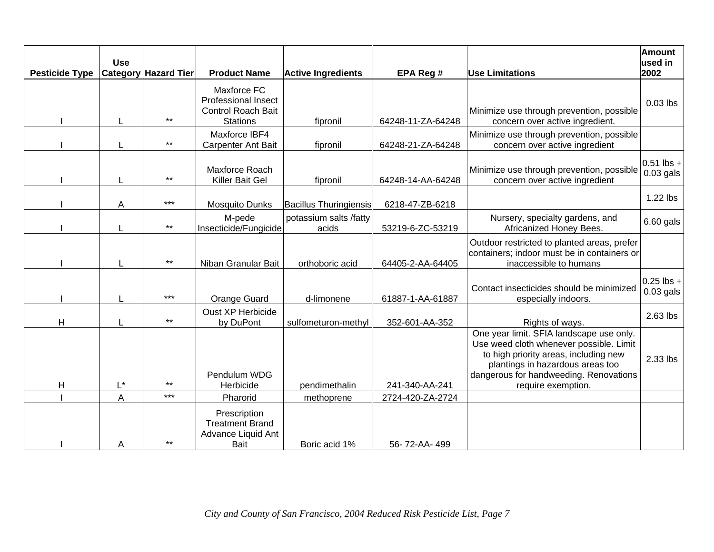| <b>Pesticide Type</b> | <b>Use</b>         | <b>Category Hazard Tier</b> | <b>Product Name</b>                                                                       | <b>Active Ingredients</b>       | EPA Reg #         | <b>Use Limitations</b>                                                                                                                                                                                                           | <b>Amount</b><br>used in<br>2002 |
|-----------------------|--------------------|-----------------------------|-------------------------------------------------------------------------------------------|---------------------------------|-------------------|----------------------------------------------------------------------------------------------------------------------------------------------------------------------------------------------------------------------------------|----------------------------------|
|                       | L                  | $***$                       | Maxforce FC<br><b>Professional Insect</b><br><b>Control Roach Bait</b><br><b>Stations</b> | fipronil                        | 64248-11-ZA-64248 | Minimize use through prevention, possible<br>concern over active ingredient.                                                                                                                                                     | $0.03$ lbs                       |
|                       |                    | $\star\star$                | Maxforce IBF4<br>Carpenter Ant Bait                                                       | fipronil                        | 64248-21-ZA-64248 | Minimize use through prevention, possible<br>concern over active ingredient                                                                                                                                                      |                                  |
|                       |                    | $***$                       | Maxforce Roach<br>Killer Bait Gel                                                         | fipronil                        | 64248-14-AA-64248 | Minimize use through prevention, possible<br>concern over active ingredient                                                                                                                                                      | $0.51$ lbs +<br>$0.03$ gals      |
|                       | A                  | $***$                       | <b>Mosquito Dunks</b>                                                                     | <b>Bacillus Thuringiensis</b>   | 6218-47-ZB-6218   |                                                                                                                                                                                                                                  | 1.22 lbs                         |
|                       |                    | $^{\star\star}$             | M-pede<br>Insecticide/Fungicide                                                           | potassium salts /fatty<br>acids | 53219-6-ZC-53219  | Nursery, specialty gardens, and<br>Africanized Honey Bees.                                                                                                                                                                       | 6.60 gals                        |
|                       |                    | $***$                       | Niban Granular Bait                                                                       | orthoboric acid                 | 64405-2-AA-64405  | Outdoor restricted to planted areas, prefer<br>containers; indoor must be in containers or<br>inaccessible to humans                                                                                                             |                                  |
|                       |                    | $***$                       | Orange Guard                                                                              | d-limonene                      | 61887-1-AA-61887  | Contact insecticides should be minimized<br>especially indoors.                                                                                                                                                                  | $0.25$ lbs +<br>$0.03$ gals      |
| Η                     |                    | $***$                       | Oust XP Herbicide<br>by DuPont                                                            | sulfometuron-methyl             | 352-601-AA-352    | Rights of ways.                                                                                                                                                                                                                  | 2.63 lbs                         |
| $\mathsf{H}$          | $\mathsf{L}^\star$ | $***$                       | Pendulum WDG<br>Herbicide                                                                 | pendimethalin                   | 241-340-AA-241    | One year limit. SFIA landscape use only.<br>Use weed cloth whenever possible. Limit<br>to high priority areas, including new<br>plantings in hazardous areas too<br>dangerous for handweeding. Renovations<br>require exemption. | 2.33 lbs                         |
|                       | A                  | $***$                       | Pharorid                                                                                  | methoprene                      | 2724-420-ZA-2724  |                                                                                                                                                                                                                                  |                                  |
|                       | Α                  | $***$                       | Prescription<br><b>Treatment Brand</b><br>Advance Liquid Ant<br>Bait                      | Boric acid 1%                   | 56-72-AA-499      |                                                                                                                                                                                                                                  |                                  |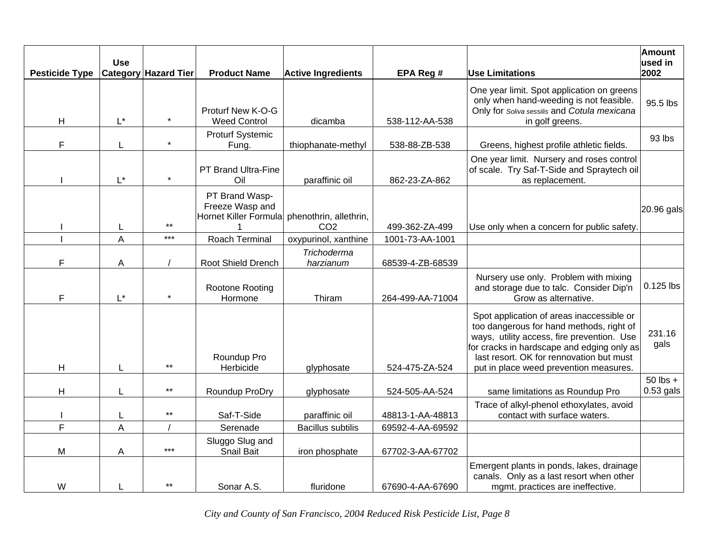| <b>Pesticide Type</b> | <b>Use</b>         | <b>Category Hazard Tier</b> | <b>Product Name</b>                                        | <b>Active Ingredients</b>                 | EPA Reg #        | <b>Use Limitations</b>                                                                                                                                                                                                                                                  | Amount<br>used in<br>2002 |
|-----------------------|--------------------|-----------------------------|------------------------------------------------------------|-------------------------------------------|------------------|-------------------------------------------------------------------------------------------------------------------------------------------------------------------------------------------------------------------------------------------------------------------------|---------------------------|
| H                     | $\mathsf{L}^\star$ |                             | Proturf New K-O-G<br><b>Weed Control</b>                   | dicamba                                   | 538-112-AA-538   | One year limit. Spot application on greens<br>only when hand-weeding is not feasible.<br>Only for Soliva sessilis and Cotula mexicana<br>in golf greens.                                                                                                                | 95.5 lbs                  |
| F                     |                    | $\star$                     | <b>Proturf Systemic</b><br>Fung.                           | thiophanate-methyl                        | 538-88-ZB-538    | Greens, highest profile athletic fields.                                                                                                                                                                                                                                | 93 lbs                    |
|                       | $L^*$              | $\star$                     | PT Brand Ultra-Fine<br>Oil                                 | paraffinic oil                            | 862-23-ZA-862    | One year limit. Nursery and roses control<br>of scale. Try Saf-T-Side and Spraytech oil<br>as replacement.                                                                                                                                                              |                           |
|                       | L                  | $***$                       | PT Brand Wasp-<br>Freeze Wasp and<br>Hornet Killer Formula | phenothrin, allethrin,<br>CO <sub>2</sub> | 499-362-ZA-499   | Use only when a concern for public safety.                                                                                                                                                                                                                              | 20.96 gals                |
|                       | A                  | $***$                       | <b>Roach Terminal</b>                                      | oxypurinol, xanthine                      | 1001-73-AA-1001  |                                                                                                                                                                                                                                                                         |                           |
| F                     | A                  |                             | Root Shield Drench                                         | Trichoderma<br>harzianum                  | 68539-4-ZB-68539 |                                                                                                                                                                                                                                                                         |                           |
| F                     | $\mathsf{L}^\star$ |                             | Rootone Rooting<br>Hormone                                 | Thiram                                    | 264-499-AA-71004 | Nursery use only. Problem with mixing<br>and storage due to talc. Consider Dip'n<br>Grow as alternative.                                                                                                                                                                | 0.125 lbs                 |
| H                     |                    | $***$                       | Roundup Pro<br>Herbicide                                   | glyphosate                                | 524-475-ZA-524   | Spot application of areas inaccessible or<br>too dangerous for hand methods, right of<br>ways, utility access, fire prevention. Use<br>for cracks in hardscape and edging only as<br>last resort. OK for rennovation but must<br>put in place weed prevention measures. | 231.16<br>gals            |
|                       |                    |                             |                                                            |                                           |                  |                                                                                                                                                                                                                                                                         | $50$ lbs +                |
| H                     |                    | $***$                       | Roundup ProDry                                             | glyphosate                                | 524-505-AA-524   | same limitations as Roundup Pro                                                                                                                                                                                                                                         | $0.53$ gals               |
|                       |                    | $\star\star$                | Saf-T-Side                                                 | paraffinic oil                            | 48813-1-AA-48813 | Trace of alkyl-phenol ethoxylates, avoid<br>contact with surface waters.                                                                                                                                                                                                |                           |
| F                     | A                  |                             | Serenade                                                   | <b>Bacillus subtilis</b>                  | 69592-4-AA-69592 |                                                                                                                                                                                                                                                                         |                           |
| M                     | A                  | $***$                       | Sluggo Slug and<br>Snail Bait                              | iron phosphate                            | 67702-3-AA-67702 |                                                                                                                                                                                                                                                                         |                           |
| W                     |                    | $***$                       | Sonar A.S.                                                 | fluridone                                 | 67690-4-AA-67690 | Emergent plants in ponds, lakes, drainage<br>canals. Only as a last resort when other<br>mgmt. practices are ineffective.                                                                                                                                               |                           |